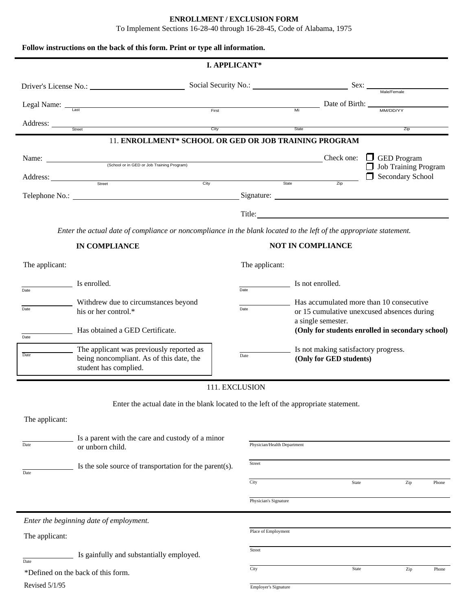# **ENROLLMENT / EXCLUSION FORM** To Implement Sections 16-28-40 through 16-28-45, Code of Alabama, 1975 **Follow instructions on the back of this form. Print or type all information. I. APPLICANT\*** Driver's License No.: Social Security No.: Sex: Male/Female Legal Name: <u>Last Constantine and Constantine Constantine and Constantine Constantine Constantine Constantine Constantine Constantine Constantine Constantine Constantine Constantine Constantine Constantine Constantine Cons</u> Address: \_ Street City State Zip 11. **ENROLLMENT\* SCHOOL OR GED OR JOB TRAINING PROGRAM** Name:  $\frac{C}{C}$  Check one:  $\frac{C}{C}$  GED Program (School or in GED or Job Training Program)<br>
Address:<br>
State <u>Zip</u> Dob Training Program and State and State and State and State and State and State and State and State and State and State and State and State and State and S Address: Street Street City City State Zip Secondary School Telephone No.: Signature: Signature: Signature: Signature: Signature: Signature: Signature: Signature: Signature: Signature: Signature: Signature: Signature: Signature: Signature: Signature: Signature: Signature: Signature Title: *Enter the actual date of compliance or noncompliance in the blank located to the left of the appropriate statement.* **IN COMPLIANCE NOT IN COMPLIANCE** The applicant: The applicant: The applicant:  $\frac{1}{\sqrt{1-\frac{1}{n}}}\$  Is not enrolled. Date Date Has accumulated more than 10 consecutive or 15 cumulative unexcused absences during Withdrew due to circumstances beyond  $\frac{1}{\text{Date}}$  his or her control.\* a single semester. Has obtained a GED Certificate. **(Only for students enrolled in secondary school)**  $\overline{\overline{}}$ Date The applicant was previously reported as Date being noncompliant. As of this date, the <sup>Date</sup> Only for GED students) student has complied. Is not making satisfactory progress. 111. EXCLUSION Enter the actual date in the blank located to the left of the appropriate statement. The applicant:  $\equiv$  Is a parent with the care and custody of a minor Date or unborn child.  $\sum$  Is the sole source of transportation for the parent(s). Date

City **State** 2ip Phone Physician's Signature *Enter the beginning date of employment.* Place of Employment The applicant: Street Is gainfully and substantially employed. Date \*Defined on the back of this form.  $\overline{C_{\text{ity}}}$   $\overline{C_{\text{ity}}}$   $\overline{S_{\text{tate}}}$   $\overline{C_{\text{tip}}}$   $\overline{C_{\text{tip}}}$ Revised 5/1/95 Employer's Signature